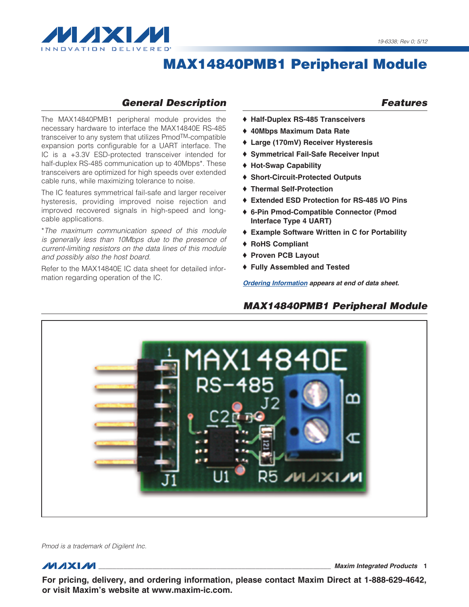

## *General Description*

The MAX14840PMB1 peripheral module provides the necessary hardware to interface the MAX14840E RS-485 transceiver to any system that utilizes PmodTM-compatible expansion ports configurable for a UART interface. The IC is a +3.3V ESD-protected transceiver intended for half-duplex RS-485 communication up to 40Mbps\*. These transceivers are optimized for high speeds over extended cable runs, while maximizing tolerance to noise.

The IC features symmetrical fail-safe and larger receiver hysteresis, providing improved noise rejection and improved recovered signals in high-speed and longcable applications.

\**The maximum communication speed of this module is generally less than 10Mbps due to the presence of current-limiting resistors on the data lines of this module and possibly also the host board.*

Refer to the MAX14840E IC data sheet for detailed information regarding operation of the IC.

#### *Features*

- ◆ Half-Duplex RS-485 Transceivers
- ◆ 40Mbps Maximum Data Rate
- ◆ Large (170mV) Receiver Hysteresis
- ◆ Symmetrical Fail-Safe Receiver Input
- ◆ Hot-Swap Capability
- ◆ Short-Circuit-Protected Outputs
- ♦ Thermal Self-Protection
- ♦ Extended ESD Protection for RS-485 I/O Pins
- ◆ 6-Pin Pmod-Compatible Connector (Pmod Interface Type 4 UART)
- ◆ Example Software Written in C for Portability
- ◆ RoHS Compliant
- ◆ Proven PCB Layout
- ◆ Fully Assembled and Tested

*[Ordering Information appears at end of data sheet.](#page-5-0)*

### *MAX14840PMB1 Peripheral Module*



*Pmod is a trademark of Digilent Inc.*

\_\_\_\_\_\_\_\_\_\_\_\_\_\_\_\_\_\_\_\_\_\_\_\_\_\_\_\_\_\_\_\_\_\_\_\_\_\_\_\_\_\_\_\_\_\_\_\_\_\_\_\_\_\_\_\_\_\_\_\_\_\_\_\_\_ *Maxim Integrated Products* 1

For pricing, delivery, and ordering information, please contact Maxim Direct at 1-888-629-4642, or visit Maxim's website at www.maxim-ic.com.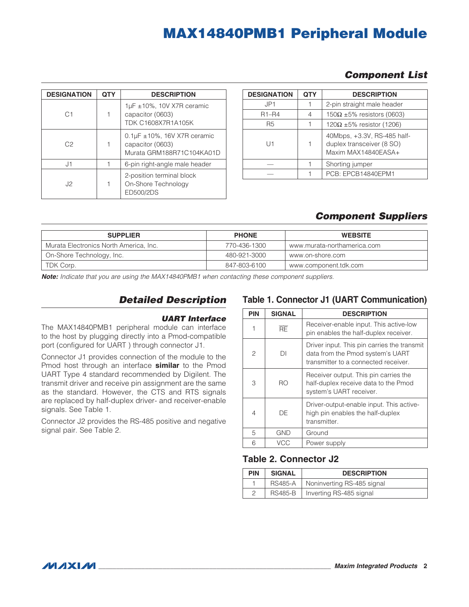|  | <b>Component List</b> |  |
|--|-----------------------|--|
|--|-----------------------|--|

| <b>DESIGNATION</b> | <b>QTY</b> | <b>DESCRIPTION</b>                                                                     |  |
|--------------------|------------|----------------------------------------------------------------------------------------|--|
| C <sub>1</sub>     |            | 1µF ±10%, 10V X7R ceramic<br>capacitor (0603)<br>TDK C1608X7R1A105K                    |  |
| C <sub>2</sub>     |            | $0.1\mu$ F $\pm$ 10%, 16V X7R ceramic<br>capacitor (0603)<br>Murata GRM188R71C104KA01D |  |
| J1                 |            | 6-pin right-angle male header                                                          |  |
| J2                 |            | 2-position terminal block<br>On-Shore Technology<br>ED500/2DS                          |  |

| <b>DESIGNATION</b> | <b>QTY</b> | <b>DESCRIPTION</b>                                                              |
|--------------------|------------|---------------------------------------------------------------------------------|
| JP1                |            | 2-pin straight male header                                                      |
| $R1 - R4$          | 4          | 150 $\Omega$ ±5% resistors (0603)                                               |
| R5                 |            | $120\Omega \pm 5\%$ resistor (1206)                                             |
| $  \;  $           |            | 40Mbps, +3.3V, RS-485 half-<br>duplex transceiver (8 SO)<br>Maxim MAX14840EASA+ |
|                    |            | Shorting jumper                                                                 |
|                    |            | PCB: EPCB14840EPM1                                                              |

## *Component Suppliers*

| <b>SUPPLIER</b>                        | <b>PHONE</b> | <b>WEBSITE</b>              |
|----------------------------------------|--------------|-----------------------------|
| Murata Electronics North America, Inc. | 770-436-1300 | www.murata-northamerica.com |
| On-Shore Technology, Inc.              | 480-921-3000 | www.on-shore.com            |
| TDK Corp.                              | 847-803-6100 | www.component.tdk.com       |

*Note: Indicate that you are using the MAX14840PMB1 when contacting these component suppliers.*

## *Detailed Description*

#### *UART Interface*

The MAX14840PMB1 peripheral module can interface to the host by plugging directly into a Pmod-compatible port (configured for UART ) through connector J1.

Connector J1 provides connection of the module to the Pmod host through an interface **similar** to the Pmod UART Type 4 standard recommended by Digilent. The transmit driver and receive pin assignment are the same as the standard. However, the CTS and RTS signals are replaced by half-duplex driver- and receiver-enable signals. See Table 1.

Connector J2 provides the RS-485 positive and negative signal pair. See Table 2.

### Table 1. Connector J1 (UART Communication)

| <b>PIN</b>     | <b>SIGNAL</b> | <b>DESCRIPTION</b>                                                                                                      |
|----------------|---------------|-------------------------------------------------------------------------------------------------------------------------|
| 1              | RE            | Receiver-enable input. This active-low<br>pin enables the half-duplex receiver.                                         |
| $\overline{c}$ | DΙ            | Driver input. This pin carries the transmit<br>data from the Pmod system's UART<br>transmitter to a connected receiver. |
| 3              | RΟ            | Receiver output. This pin carries the<br>half-duplex receive data to the Pmod<br>system's UART receiver.                |
| 4              | DF            | Driver-output-enable input. This active-<br>high pin enables the half-duplex<br>transmitter.                            |
| 5              | <b>GND</b>    | Ground                                                                                                                  |
| 6              | VCC           | Power supply                                                                                                            |

#### Table 2. Connector J2

| <b>PIN</b> | <b>SIGNAL</b> | <b>DESCRIPTION</b>                   |
|------------|---------------|--------------------------------------|
|            |               | RS485-A   Noninverting RS-485 signal |
|            |               | RS485-B   Inverting RS-485 signal    |

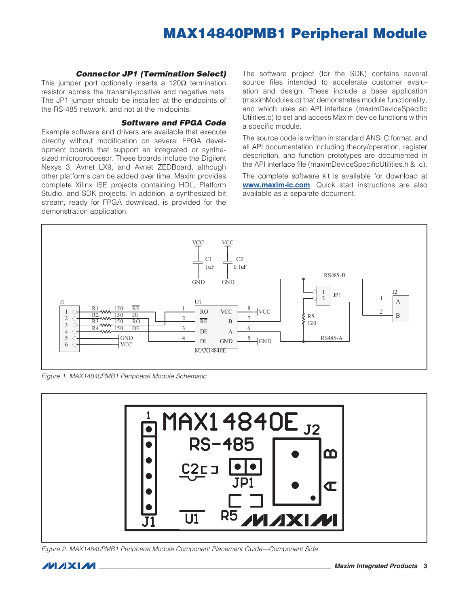#### *Connector JP1 (Termination Select)*

This jumper port optionally inserts a  $120\Omega$  termination resistor across the transmit-positive and negative nets. The JP1 jumper should be installed at the endpoints of the RS-485 network, and not at the midpoints.

#### *Software and FPGA Code*

Example software and drivers are available that execute directly without modification on several FPGA development boards that support an integrated or synthesized microprocessor. These boards include the Digilent Nexys 3, Avnet LX9, and Avnet ZEDBoard, although other platforms can be added over time. Maxim provides complete Xilinx ISE projects containing HDL, Platform Studio, and SDK projects. In addition, a synthesized bit stream, ready for FPGA download, is provided for the demonstration application.

The software project (for the SDK) contains several source files intended to accelerate customer evaluation and design. These include a base application (maximModules.c) that demonstrates module functionality, and which uses an API interface (maximDeviceSpecific Utilities.c) to set and access Maxim device functions within a specific module.

The source code is written in standard ANSI C format, and all API documentation including theory/operation, register description, and function prototypes are documented in the API interface file (maximDeviceSpecificUtilities.h & .c).

The complete software kit is available for download at www.maxim-ic.com. Quick start instructions are also available as a separate document.



*Figure 1. MAX14840PMB1 Peripheral Module Schematic*



*Figure 2. MAX14840PMB1 Peripheral Module Component Placement Guide—Component Side*

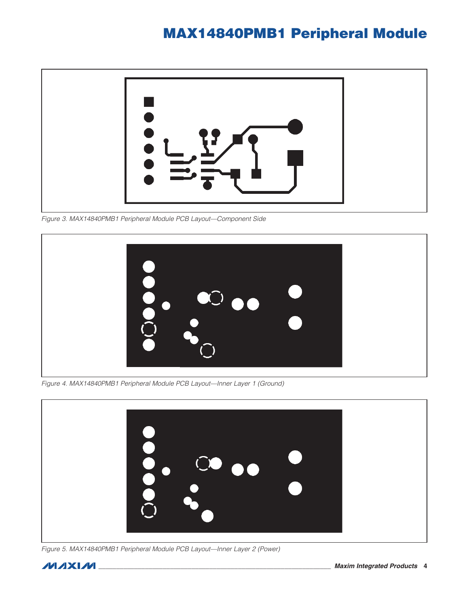

*Figure 3. MAX14840PMB1 Peripheral Module PCB Layout—Component Side*



*Figure 4. MAX14840PMB1 Peripheral Module PCB Layout—Inner Layer 1 (Ground)*



*Figure 5. MAX14840PMB1 Peripheral Module PCB Layout—Inner Layer 2 (Power)*

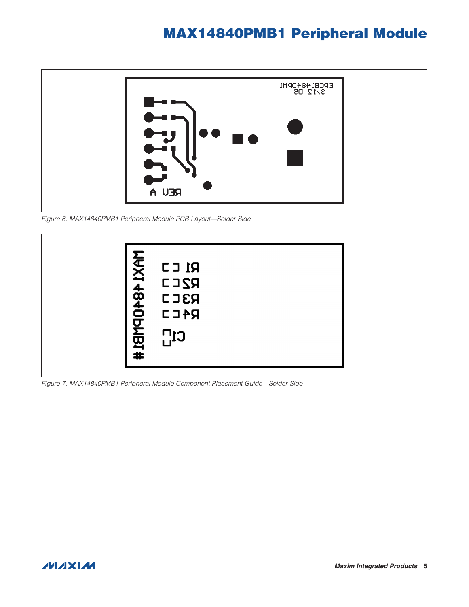

*Figure 6. MAX14840PMB1 Peripheral Module PCB Layout—Solder Side*



*Figure 7. MAX14840PMB1 Peripheral Module Component Placement Guide—Solder Side*

**MAXM**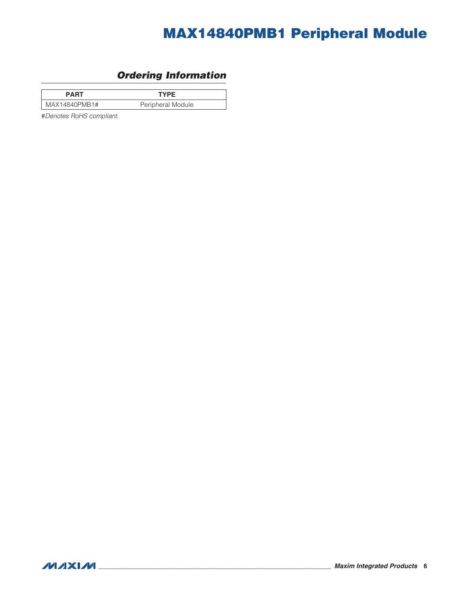# *Ordering Information*

<span id="page-5-0"></span>

| <b>PART</b>   | <b>TYPE</b>       |  |
|---------------|-------------------|--|
| MAX14840PMB1# | Peripheral Module |  |

#*Denotes RoHS compliant.*